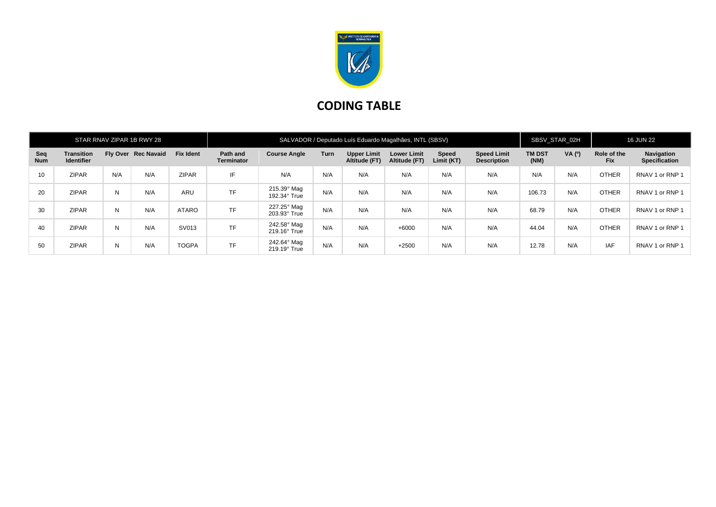

## **CODING TABLE**

| STAR RNAV ZIPAR 1B RWY 28 |                                        |     |                     |                  | SALVADOR / Deputado Luís Eduardo Magalhães, INTL (SBSV) |                                    |      |                                     |                                     |                            |                                          | SBSV STAR 02H         |        | <b>16 JUN 22</b>          |                                    |
|---------------------------|----------------------------------------|-----|---------------------|------------------|---------------------------------------------------------|------------------------------------|------|-------------------------------------|-------------------------------------|----------------------------|------------------------------------------|-----------------------|--------|---------------------------|------------------------------------|
| Seq<br><b>Num</b>         | <b>Transition</b><br><b>Identifier</b> |     | Fly Over Rec Navaid | <b>Fix Ident</b> | Path and<br><b>Terminator</b>                           | <b>Course Angle</b>                | Turn | <b>Upper Limit</b><br>Altitude (FT) | <b>Lower Limit</b><br>Altitude (FT) | <b>Speed</b><br>Limit (KT) | <b>Speed Limit</b><br><b>Description</b> | <b>TM DST</b><br>(NM) | VA (0) | Role of the<br><b>Fix</b> | Navigation<br><b>Specification</b> |
| 10 <sup>°</sup>           | <b>ZIPAR</b>                           | N/A | N/A                 | <b>ZIPAR</b>     | IF                                                      | N/A                                | N/A  | N/A                                 | N/A                                 | N/A                        | N/A                                      | N/A                   | N/A    | <b>OTHER</b>              | RNAV 1 or RNP 1                    |
| 20                        | <b>ZIPAR</b>                           | N   | N/A                 | <b>ARU</b>       | <b>TF</b>                                               | 215.39° Mag<br>192.34° True        | N/A  | N/A                                 | N/A                                 | N/A                        | N/A                                      | 106.73                | N/A    | <b>OTHER</b>              | RNAV 1 or RNP 1                    |
| 30                        | <b>ZIPAR</b>                           | N   | N/A                 | ATARO            | <b>TF</b>                                               | 227.25° Mag<br>203.93° True        | N/A  | N/A                                 | N/A                                 | N/A                        | N/A                                      | 68.79                 | N/A    | <b>OTHER</b>              | RNAV 1 or RNP 1                    |
| 40                        | <b>ZIPAR</b>                           | N   | N/A                 | SV013            | <b>TF</b>                                               | 242.58° Mag<br>219.16° True        | N/A  | N/A                                 | $+6000$                             | N/A                        | N/A                                      | 44.04                 | N/A    | <b>OTHER</b>              | RNAV 1 or RNP 1                    |
| 50                        | <b>ZIPAR</b>                           | N   | N/A                 | <b>TOGPA</b>     | <b>TF</b>                                               | 242.64° Mag<br>$219.19^\circ$ True | N/A  | N/A                                 | $+2500$                             | N/A                        | N/A                                      | 12.78                 | N/A    | <b>IAF</b>                | RNAV 1 or RNP 1                    |